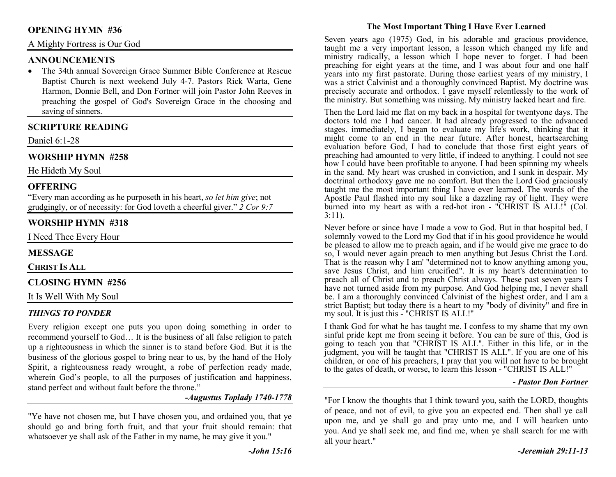## **OPENING HYMN #36**

A Mighty Fortress is Our God

## **ANNOUNCEMENTS**

 • The 34th annual Sovereign Grace Summer Bible Conference at Rescue Baptist Church is next weekend July 4-7. Pastors Rick Warta, Gene Harmon, Donnie Bell, and Don Fortner will join Pastor John Reeves in preaching the gospel of God's Sovereign Grace in the choosing and saving of sinners.

# **SCRIPTURE READING**

Daniel 6:1-28

# **WORSHIP HYMN #258**

He Hideth My Soul

## **OFFERING**

 "Every man according as he purposeth in his heart, *so let him give*; not grudgingly, or of necessity: for God loveth a cheerful giver." *2 Cor 9:7*

# **WORSHIP HYMN #318**

I Need Thee Every Hour

**MESSAGE** 

**CHRIST IS ALL**

# **CLOSING HYMN #256**

It Is Well With My Soul

## *THINGS TO PONDER*

 Every religion except one puts you upon doing something in order to recommend yourself to God… It is the business of all false religion to patch up a righteousness in which the sinner is to stand before God. But it is the business of the glorious gospel to bring near to us, by the hand of the Holy Spirit, a righteousness ready wrought, a robe of perfection ready made, wherein God's people, to all the purposes of justification and happiness, stand perfect and without fault before the throne."

#### *-Augustus Toplady 1740-1778*

"Ye have not chosen me, but I have chosen you, and ordained you, that ye should go and bring forth fruit, and that your fruit should remain: that whatsoever ye shall ask of the Father in my name, he may give it you."

## **The Most Important Thing I Have Ever Learned**

 Seven years ago (1975) God, in his adorable and gracious providence, taught me a very important lesson, a lesson which changed my life and ministry radically, a lesson which I hope never to forget. I had been preaching for eight years at the time, and I was about four and one half years into my first pastorate. During those earliest years of my ministry, I was a strict Calvinist and a thoroughly convinced Baptist. My doctrine was precisely accurate and orthodox. I gave myself relentlessly to the work of the ministry. But something was missing. My ministry lacked heart and fire.

Then the Lord laid me flat on my back in a hospital for twentyone days. The doctors told me I had cancer. It had already progressed to the advanced stages. immediately, I began to evaluate my life's work, thinking that it might come to an end in the near future. After honest, heartsearching evaluation before God, I had to conclude that those first eight years of preaching had amounted to very little, if indeed to anything. I could not see how I could have been profitable to anyone. I had been spinning my wheels in the sand. My heart was crushed in conviction, and I sunk in despair. My doctrinal orthodoxy gave me no comfort. But then the Lord God graciously taught me the most important thing I have ever learned. The words of the Apostle Paul flashed into my soul like a dazzling ray of light. They were burned into my heart as with a red-hot iron - "CHRIST IS ALL!" (Col.  $3:11$ ).

Never before or since have I made a vow to God. But in that hospital bed, I solemnly vowed to the Lord my God that if in his good providence he would be pleased to allow me to preach again, and if he would give me grace to do so, I would never again preach to men anything but Jesus Christ the Lord. That is the reason why I am' "determined not to know anything among you, save Jesus Christ, and him crucified". It is my heart's determination to preach all of Christ and to preach Christ always. These past seven years I have not turned aside from my purpose. And God helping me, I never shall be. I am a thoroughly convinced Calvinist of the highest order, and I am a strict Baptist; but today there is a heart to my "body of divinity" and fire in my soul. It is just this - "CHRIST IS ALL!"

I thank God for what he has taught me. I confess to my shame that my own sinful pride kept me from seeing it before. You can be sure of this, God is going to teach you that "CHRIST IS ALL". Either in this life, or in the judgment, you will be taught that "CHRIST IS ALL". If you are one of his children, or one of his preachers, I pray that you will not have to be brought to the gates of death, or worse, to learn this lesson - "CHRIST IS ALL!"

#### *- Pastor Don Fortner*

"For I know the thoughts that I think toward you, saith the LORD, thoughts of peace, and not of evil, to give you an expected end. Then shall ye call upon me, and ye shall go and pray unto me, and I will hearken unto you. And ye shall seek me, and find me, when ye shall search for me with all your heart."